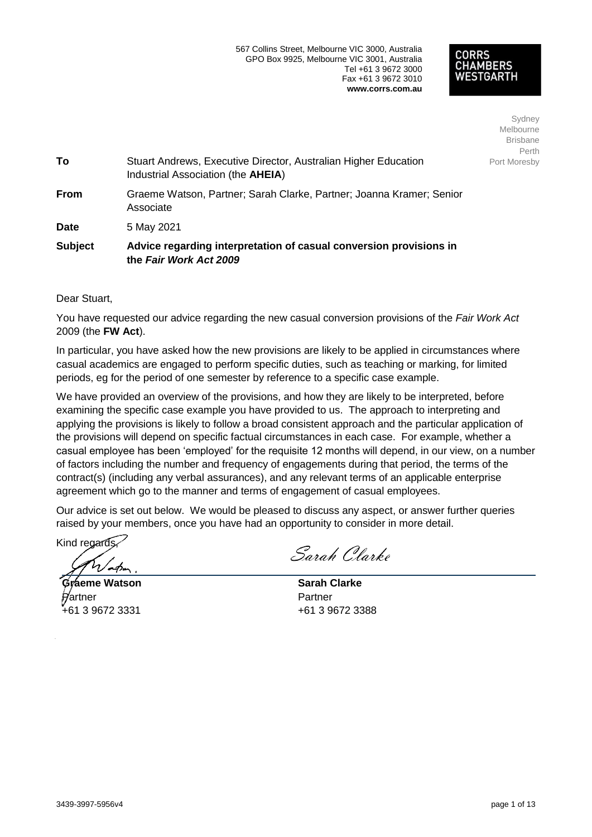# CORRS HAMBERS

Sydney Melbourne **Brisbane** Perth Port Moresby

| Graeme Watson, Partner; Sarah Clarke, Partner; Joanna Kramer; Senior |
|----------------------------------------------------------------------|
|                                                                      |
| Stuart Andrews, Executive Director, Australian Higher Education      |

Dear Stuart,

You have requested our advice regarding the new casual conversion provisions of the Fair Work Act 2009 (the FW Act).

In particular, you have asked how the new provisions are likely to be applied in circumstances where casual academics are engaged to perform specific duties, such as teaching or marking, for limited periods, eq for the period of one semester by reference to a specific case example.

We have provided an overview of the provisions, and how they are likely to be interpreted, before examining the specific case example you have provided to us. The approach to interpreting and applying the provisions is likely to follow a broad consistent approach and the particular application of the provisions will depend on specific factual circumstances in each case. For example, whether a casual employee has been 'employed' for the requisite 12 months will depend, in our view, on a number of factors including the number and frequency of engagements during that period, the terms of the contract(s) (including any verbal assurances), and any relevant terms of an applicable enterprise agreement which go to the manner and terms of engagement of casual employees.

Our advice is set out below. We would be pleased to discuss any aspect, or answer further queries raised by your members, once you have had an opportunity to consider in more detail.

Kind recards

**Graeme Watson** ⁄artner +61 3 9672 3331

Sarah Clarke

**Sarah Clarke** Partner +61 3 9672 3388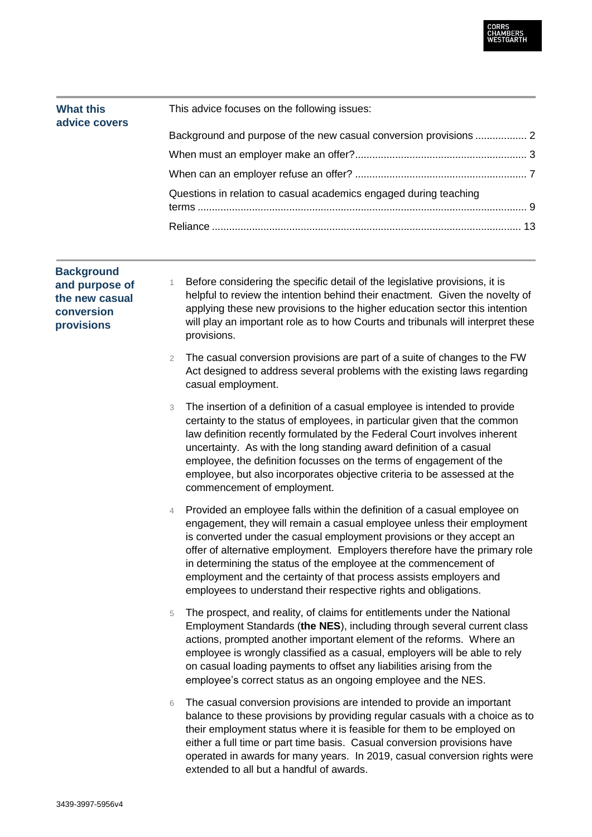

| <b>What this</b><br>advice covers | This advice focuses on the following issues:                      |  |
|-----------------------------------|-------------------------------------------------------------------|--|
|                                   |                                                                   |  |
|                                   |                                                                   |  |
|                                   |                                                                   |  |
|                                   | Questions in relation to casual academics engaged during teaching |  |
|                                   |                                                                   |  |

# **Background and purpose of the new casual conversion provisions**

- 1 Before considering the specific detail of the legislative provisions, it is helpful to review the intention behind their enactment. Given the novelty of applying these new provisions to the higher education sector this intention will play an important role as to how Courts and tribunals will interpret these provisions.
- 2 The casual conversion provisions are part of a suite of changes to the FW Act designed to address several problems with the existing laws regarding casual employment.
- 3 The insertion of a definition of a casual employee is intended to provide certainty to the status of employees, in particular given that the common law definition recently formulated by the Federal Court involves inherent uncertainty. As with the long standing award definition of a casual employee, the definition focusses on the terms of engagement of the employee, but also incorporates objective criteria to be assessed at the commencement of employment.
- 4 Provided an employee falls within the definition of a casual employee on engagement, they will remain a casual employee unless their employment is converted under the casual employment provisions or they accept an offer of alternative employment. Employers therefore have the primary role in determining the status of the employee at the commencement of employment and the certainty of that process assists employers and employees to understand their respective rights and obligations.
- 5 The prospect, and reality, of claims for entitlements under the National Employment Standards (**the NES**), including through several current class actions, prompted another important element of the reforms. Where an employee is wrongly classified as a casual, employers will be able to rely on casual loading payments to offset any liabilities arising from the employee's correct status as an ongoing employee and the NES.
- 6 The casual conversion provisions are intended to provide an important balance to these provisions by providing regular casuals with a choice as to their employment status where it is feasible for them to be employed on either a full time or part time basis. Casual conversion provisions have operated in awards for many years. In 2019, casual conversion rights were extended to all but a handful of awards.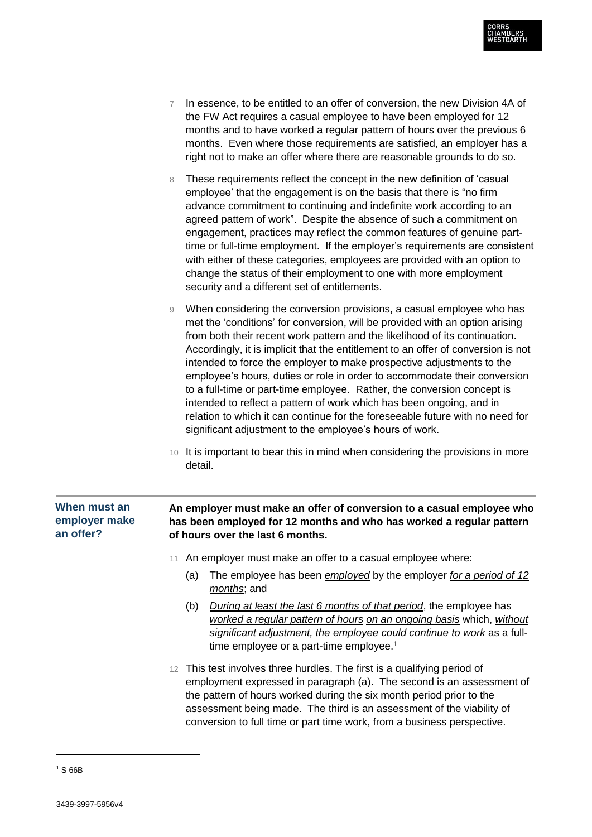

- 7 In essence, to be entitled to an offer of conversion, the new Division 4A of the FW Act requires a casual employee to have been employed for 12 months and to have worked a regular pattern of hours over the previous 6 months. Even where those requirements are satisfied, an employer has a right not to make an offer where there are reasonable grounds to do so.
- 8 These requirements reflect the concept in the new definition of 'casual employee' that the engagement is on the basis that there is "no firm advance commitment to continuing and indefinite work according to an agreed pattern of work". Despite the absence of such a commitment on engagement, practices may reflect the common features of genuine parttime or full-time employment. If the employer's requirements are consistent with either of these categories, employees are provided with an option to change the status of their employment to one with more employment security and a different set of entitlements.
- 9 When considering the conversion provisions, a casual employee who has met the 'conditions' for conversion, will be provided with an option arising from both their recent work pattern and the likelihood of its continuation. Accordingly, it is implicit that the entitlement to an offer of conversion is not intended to force the employer to make prospective adjustments to the employee's hours, duties or role in order to accommodate their conversion to a full-time or part-time employee. Rather, the conversion concept is intended to reflect a pattern of work which has been ongoing, and in relation to which it can continue for the foreseeable future with no need for significant adjustment to the employee's hours of work.
- 10 It is important to bear this in mind when considering the provisions in more detail.

# **An employer must make an offer of conversion to a casual employee who has been employed for 12 months and who has worked a regular pattern of hours over the last 6 months.** 11 An employer must make an offer to a casual employee where: (a) The employee has been *employed* by the employer *for a period of 12 months*; and (b) *During at least the last 6 months of that period*, the employee has *worked a regular pattern of hours on an ongoing basis* which, *without significant adjustment, the employee could continue to work* as a fulltime employee or a part-time employee. 1 **When must an employer make an offer?**

12 This test involves three hurdles. The first is a qualifying period of employment expressed in paragraph (a). The second is an assessment of the pattern of hours worked during the six month period prior to the assessment being made. The third is an assessment of the viability of conversion to full time or part time work, from a business perspective.

<sup>1</sup> S 66B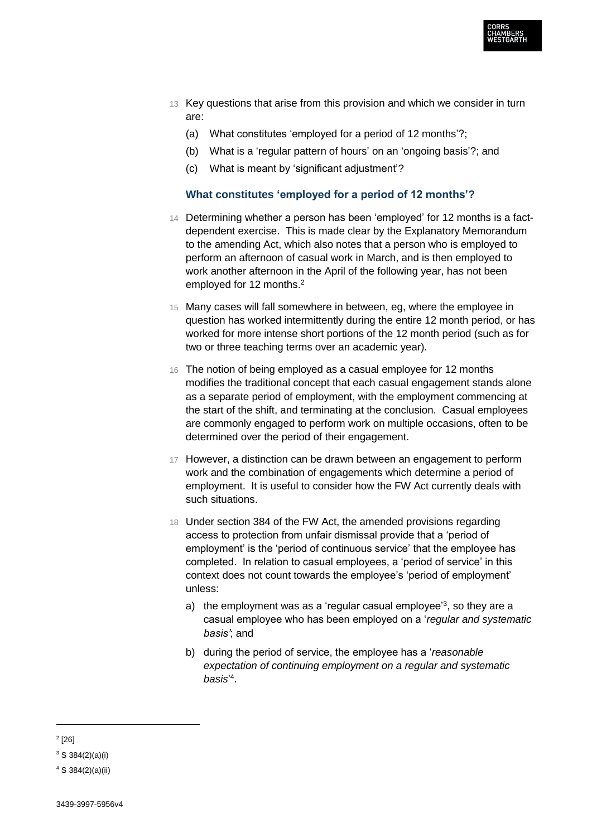

- 13 Key questions that arise from this provision and which we consider in turn are:
	- (a) What constitutes 'employed for a period of 12 months'?;
	- (b) What is a 'regular pattern of hours' on an 'ongoing basis'?; and
	- (c) What is meant by 'significant adjustment'?

## **What constitutes 'employed for a period of 12 months'?**

- 14 Determining whether a person has been 'employed' for 12 months is a factdependent exercise. This is made clear by the Explanatory Memorandum to the amending Act, which also notes that a person who is employed to perform an afternoon of casual work in March, and is then employed to work another afternoon in the April of the following year, has not been employed for 12 months.<sup>2</sup>
- 15 Many cases will fall somewhere in between, eg, where the employee in question has worked intermittently during the entire 12 month period, or has worked for more intense short portions of the 12 month period (such as for two or three teaching terms over an academic year).
- 16 The notion of being employed as a casual employee for 12 months modifies the traditional concept that each casual engagement stands alone as a separate period of employment, with the employment commencing at the start of the shift, and terminating at the conclusion. Casual employees are commonly engaged to perform work on multiple occasions, often to be determined over the period of their engagement.
- 17 However, a distinction can be drawn between an engagement to perform work and the combination of engagements which determine a period of employment. It is useful to consider how the FW Act currently deals with such situations.
- 18 Under section 384 of the FW Act, the amended provisions regarding access to protection from unfair dismissal provide that a 'period of employment' is the 'period of continuous service' that the employee has completed. In relation to casual employees, a 'period of service' in this context does not count towards the employee's 'period of employment' unless:
	- a) the employment was as a 'regular casual employee'<sup>3</sup>, so they are a casual employee who has been employed on a '*regular and systematic basis'*; and
	- b) during the period of service, the employee has a '*reasonable expectation of continuing employment on a regular and systematic basis*' 4 .

 $2^{2}[26]$ 

 $3$  S 384(2)(a)(i)

 $4 S 384(2)(a)(ii)$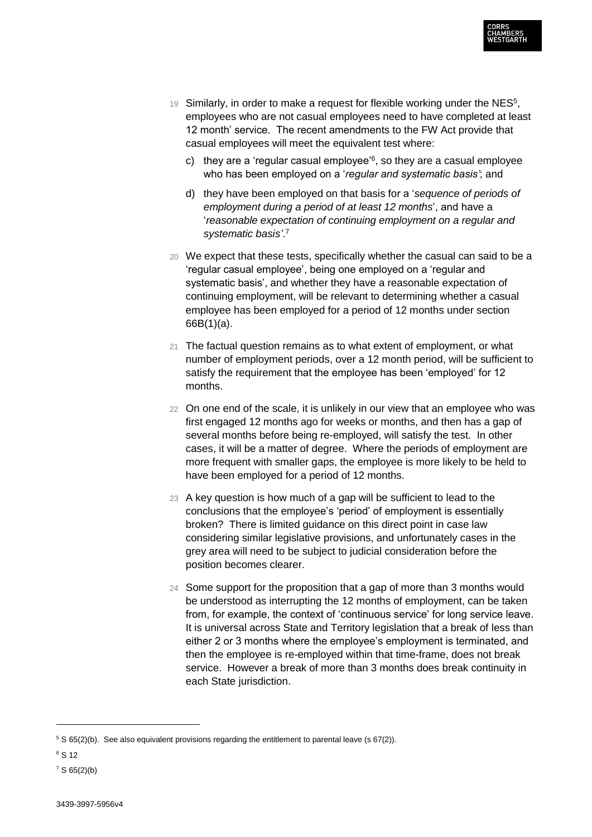

- 19 Similarly, in order to make a request for flexible working under the  $NES<sup>5</sup>$ , employees who are not casual employees need to have completed at least 12 month' service. The recent amendments to the FW Act provide that casual employees will meet the equivalent test where:
	- c) they are a 'regular casual employee'<sup>6</sup>, so they are a casual employee who has been employed on a '*regular and systematic basis'*; and
	- d) they have been employed on that basis for a '*sequence of periods of employment during a period of at least 12 months*', and have a '*reasonable expectation of continuing employment on a regular and systematic basis'*. 7
- 20 We expect that these tests, specifically whether the casual can said to be a 'regular casual employee', being one employed on a 'regular and systematic basis', and whether they have a reasonable expectation of continuing employment, will be relevant to determining whether a casual employee has been employed for a period of 12 months under section 66B(1)(a).
- 21 The factual question remains as to what extent of employment, or what number of employment periods, over a 12 month period, will be sufficient to satisfy the requirement that the employee has been 'employed' for 12 months.
- 22 On one end of the scale, it is unlikely in our view that an employee who was first engaged 12 months ago for weeks or months, and then has a gap of several months before being re-employed, will satisfy the test. In other cases, it will be a matter of degree. Where the periods of employment are more frequent with smaller gaps, the employee is more likely to be held to have been employed for a period of 12 months.
- 23 A key question is how much of a gap will be sufficient to lead to the conclusions that the employee's 'period' of employment is essentially broken? There is limited guidance on this direct point in case law considering similar legislative provisions, and unfortunately cases in the grey area will need to be subject to judicial consideration before the position becomes clearer.
- 24 Some support for the proposition that a gap of more than 3 months would be understood as interrupting the 12 months of employment, can be taken from, for example, the context of 'continuous service' for long service leave. It is universal across State and Territory legislation that a break of less than either 2 or 3 months where the employee's employment is terminated, and then the employee is re-employed within that time-frame, does not break service. However a break of more than 3 months does break continuity in each State jurisdiction.

 $5 S 65(2)(b)$ . See also equivalent provisions regarding the entitlement to parental leave (s 67(2)).

<sup>6</sup> S 12

 $7 S 65(2)(b)$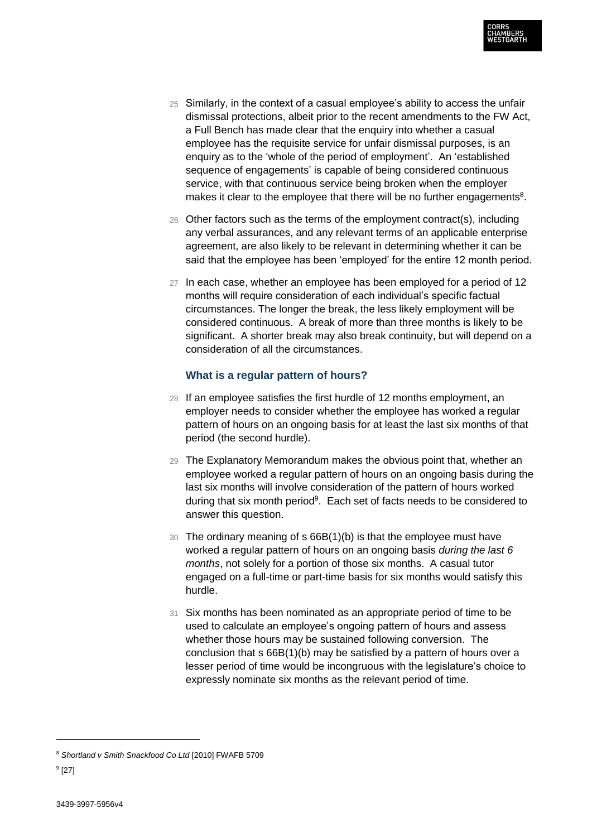

- 25 Similarly, in the context of a casual employee's ability to access the unfair dismissal protections, albeit prior to the recent amendments to the FW Act, a Full Bench has made clear that the enquiry into whether a casual employee has the requisite service for unfair dismissal purposes, is an enquiry as to the 'whole of the period of employment'. An 'established sequence of engagements' is capable of being considered continuous service, with that continuous service being broken when the employer makes it clear to the employee that there will be no further engagements<sup>8</sup>.
- 26 Other factors such as the terms of the employment contract(s), including any verbal assurances, and any relevant terms of an applicable enterprise agreement, are also likely to be relevant in determining whether it can be said that the employee has been 'employed' for the entire 12 month period.
- 27 In each case, whether an employee has been employed for a period of 12 months will require consideration of each individual's specific factual circumstances. The longer the break, the less likely employment will be considered continuous. A break of more than three months is likely to be significant. A shorter break may also break continuity, but will depend on a consideration of all the circumstances.

# **What is a regular pattern of hours?**

- 28 If an employee satisfies the first hurdle of 12 months employment, an employer needs to consider whether the employee has worked a regular pattern of hours on an ongoing basis for at least the last six months of that period (the second hurdle).
- 29 The Explanatory Memorandum makes the obvious point that, whether an employee worked a regular pattern of hours on an ongoing basis during the last six months will involve consideration of the pattern of hours worked during that six month period<sup>9</sup>. Each set of facts needs to be considered to answer this question.
- 30 The ordinary meaning of s 66B(1)(b) is that the employee must have worked a regular pattern of hours on an ongoing basis *during the last 6 months*, not solely for a portion of those six months. A casual tutor engaged on a full-time or part-time basis for six months would satisfy this hurdle.
- 31 Six months has been nominated as an appropriate period of time to be used to calculate an employee's ongoing pattern of hours and assess whether those hours may be sustained following conversion. The conclusion that s 66B(1)(b) may be satisfied by a pattern of hours over a lesser period of time would be incongruous with the legislature's choice to expressly nominate six months as the relevant period of time.

<sup>8</sup> *Shortland v Smith Snackfood Co Ltd* [2010] FWAFB 5709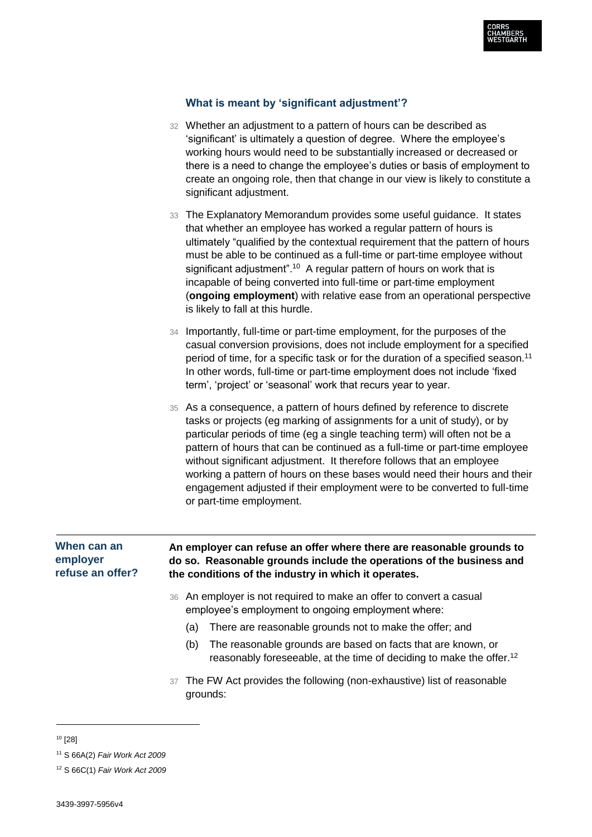

## **What is meant by 'significant adjustment'?**

- 32 Whether an adjustment to a pattern of hours can be described as 'significant' is ultimately a question of degree. Where the employee's working hours would need to be substantially increased or decreased or there is a need to change the employee's duties or basis of employment to create an ongoing role, then that change in our view is likely to constitute a significant adjustment.
- 33 The Explanatory Memorandum provides some useful guidance. It states that whether an employee has worked a regular pattern of hours is ultimately "qualified by the contextual requirement that the pattern of hours must be able to be continued as a full-time or part-time employee without significant adjustment".<sup>10</sup> A regular pattern of hours on work that is incapable of being converted into full-time or part-time employment (**ongoing employment**) with relative ease from an operational perspective is likely to fall at this hurdle.
- 34 Importantly, full-time or part-time employment, for the purposes of the casual conversion provisions, does not include employment for a specified period of time, for a specific task or for the duration of a specified season.<sup>11</sup> In other words, full-time or part-time employment does not include 'fixed term', 'project' or 'seasonal' work that recurs year to year.
- 35 As a consequence, a pattern of hours defined by reference to discrete tasks or projects (eg marking of assignments for a unit of study), or by particular periods of time (eg a single teaching term) will often not be a pattern of hours that can be continued as a full-time or part-time employee without significant adjustment. It therefore follows that an employee working a pattern of hours on these bases would need their hours and their engagement adjusted if their employment were to be converted to full-time or part-time employment.

#### **An employer can refuse an offer where there are reasonable grounds to do so. Reasonable grounds include the operations of the business and the conditions of the industry in which it operates. When can an employer refuse an offer?**

- 36 An employer is not required to make an offer to convert a casual employee's employment to ongoing employment where:
	- (a) There are reasonable grounds not to make the offer; and
	- (b) The reasonable grounds are based on facts that are known, or reasonably foreseeable, at the time of deciding to make the offer.<sup>12</sup>
- 37 The FW Act provides the following (non-exhaustive) list of reasonable grounds:

 $10$  [28]

<sup>11</sup> S 66A(2) *Fair Work Act 2009*

<sup>12</sup> S 66C(1) *Fair Work Act 2009*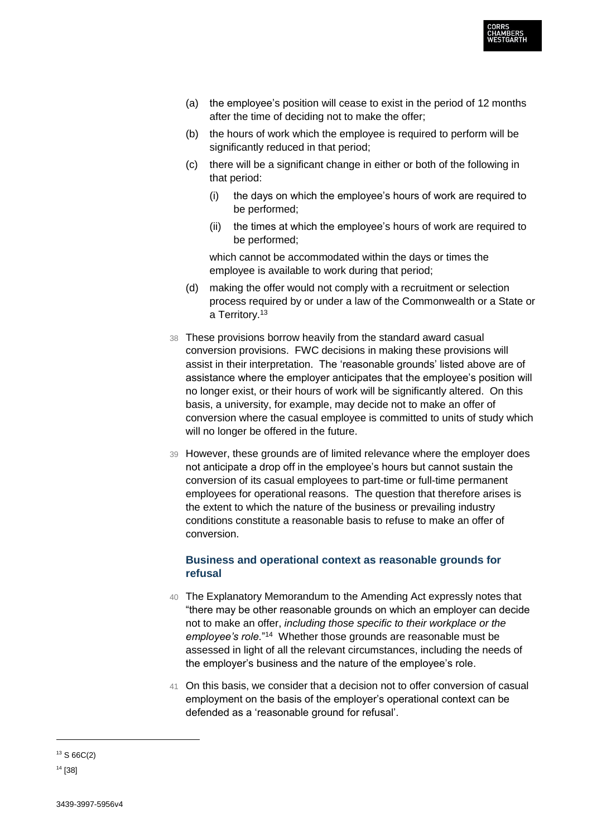

- (a) the employee's position will cease to exist in the period of 12 months after the time of deciding not to make the offer;
- (b) the hours of work which the employee is required to perform will be significantly reduced in that period;
- (c) there will be a significant change in either or both of the following in that period:
	- (i) the days on which the employee's hours of work are required to be performed;
	- (ii) the times at which the employee's hours of work are required to be performed;

which cannot be accommodated within the days or times the employee is available to work during that period;

- (d) making the offer would not comply with a recruitment or selection process required by or under a law of the Commonwealth or a State or a Territory.<sup>13</sup>
- 38 These provisions borrow heavily from the standard award casual conversion provisions. FWC decisions in making these provisions will assist in their interpretation. The 'reasonable grounds' listed above are of assistance where the employer anticipates that the employee's position will no longer exist, or their hours of work will be significantly altered. On this basis, a university, for example, may decide not to make an offer of conversion where the casual employee is committed to units of study which will no longer be offered in the future.
- 39 However, these grounds are of limited relevance where the employer does not anticipate a drop off in the employee's hours but cannot sustain the conversion of its casual employees to part-time or full-time permanent employees for operational reasons. The question that therefore arises is the extent to which the nature of the business or prevailing industry conditions constitute a reasonable basis to refuse to make an offer of conversion.

# **Business and operational context as reasonable grounds for refusal**

- 40 The Explanatory Memorandum to the Amending Act expressly notes that "there may be other reasonable grounds on which an employer can decide not to make an offer, *including those specific to their workplace or the*  employee's role."<sup>14</sup> Whether those grounds are reasonable must be assessed in light of all the relevant circumstances, including the needs of the employer's business and the nature of the employee's role.
- 41 On this basis, we consider that a decision not to offer conversion of casual employment on the basis of the employer's operational context can be defended as a 'reasonable ground for refusal'.

<sup>13</sup> S 66C(2)

<sup>14</sup> [38]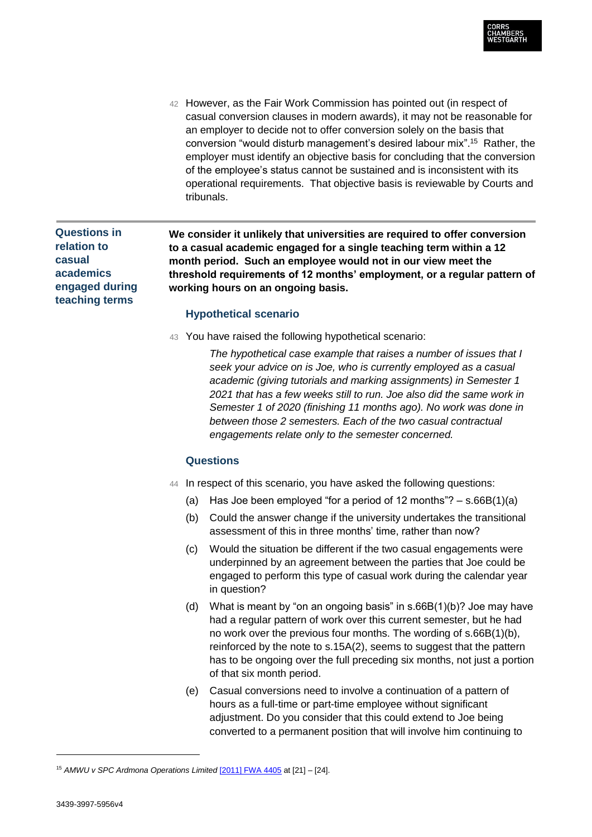

42 However, as the Fair Work Commission has pointed out (in respect of casual conversion clauses in modern awards), it may not be reasonable for an employer to decide not to offer conversion solely on the basis that conversion "would disturb management's desired labour mix".<sup>15</sup> Rather, the employer must identify an objective basis for concluding that the conversion of the employee's status cannot be sustained and is inconsistent with its operational requirements. That objective basis is reviewable by Courts and tribunals.

# **Questions in relation to casual academics engaged during teaching terms**

**We consider it unlikely that universities are required to offer conversion to a casual academic engaged for a single teaching term within a 12 month period. Such an employee would not in our view meet the threshold requirements of 12 months' employment, or a regular pattern of working hours on an ongoing basis.** 

#### **Hypothetical scenario**

43 You have raised the following hypothetical scenario:

*The hypothetical case example that raises a number of issues that I seek your advice on is Joe, who is currently employed as a casual academic (giving tutorials and marking assignments) in Semester 1 2021 that has a few weeks still to run. Joe also did the same work in Semester 1 of 2020 (finishing 11 months ago). No work was done in between those 2 semesters. Each of the two casual contractual engagements relate only to the semester concerned.*

#### **Questions**

- 44 In respect of this scenario, you have asked the following questions:
	- (a) Has Joe been employed "for a period of 12 months"?  $-$  s.66B(1)(a)
	- (b) Could the answer change if the university undertakes the transitional assessment of this in three months' time, rather than now?
	- (c) Would the situation be different if the two casual engagements were underpinned by an agreement between the parties that Joe could be engaged to perform this type of casual work during the calendar year in question?
	- (d) What is meant by "on an ongoing basis" in s.66B(1)(b)? Joe may have had a regular pattern of work over this current semester, but he had no work over the previous four months. The wording of s.66B(1)(b), reinforced by the note to s.15A(2), seems to suggest that the pattern has to be ongoing over the full preceding six months, not just a portion of that six month period.
	- (e) Casual conversions need to involve a continuation of a pattern of hours as a full-time or part-time employee without significant adjustment. Do you consider that this could extend to Joe being converted to a permanent position that will involve him continuing to

<sup>15</sup> *AMWU v SPC Ardmona Operations Limited* [2011] FWA 4405 at [21] – [24].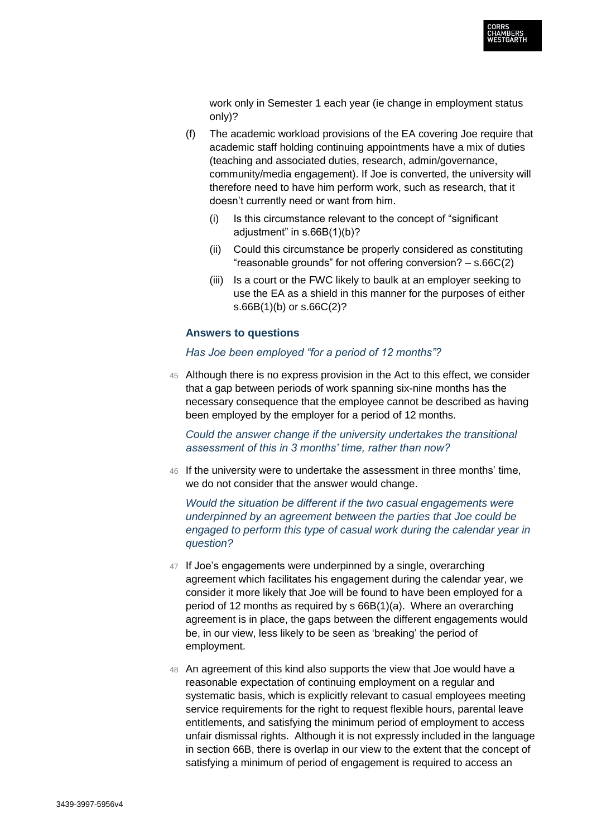

work only in Semester 1 each year (ie change in employment status only)?

- (f) The academic workload provisions of the EA covering Joe require that academic staff holding continuing appointments have a mix of duties (teaching and associated duties, research, admin/governance, community/media engagement). If Joe is converted, the university will therefore need to have him perform work, such as research, that it doesn't currently need or want from him.
	- (i) Is this circumstance relevant to the concept of "significant adjustment" in s.66B(1)(b)?
	- (ii) Could this circumstance be properly considered as constituting "reasonable grounds" for not offering conversion? – s.66C(2)
	- (iii) Is a court or the FWC likely to baulk at an employer seeking to use the EA as a shield in this manner for the purposes of either s.66B(1)(b) or s.66C(2)?

#### **Answers to questions**

*Has Joe been employed "for a period of 12 months"?*

45 Although there is no express provision in the Act to this effect, we consider that a gap between periods of work spanning six-nine months has the necessary consequence that the employee cannot be described as having been employed by the employer for a period of 12 months.

*Could the answer change if the university undertakes the transitional assessment of this in 3 months' time, rather than now?*

46 If the university were to undertake the assessment in three months' time, we do not consider that the answer would change.

*Would the situation be different if the two casual engagements were underpinned by an agreement between the parties that Joe could be engaged to perform this type of casual work during the calendar year in question?*

- 47 If Joe's engagements were underpinned by a single, overarching agreement which facilitates his engagement during the calendar year, we consider it more likely that Joe will be found to have been employed for a period of 12 months as required by s 66B(1)(a). Where an overarching agreement is in place, the gaps between the different engagements would be, in our view, less likely to be seen as 'breaking' the period of employment.
- 48 An agreement of this kind also supports the view that Joe would have a reasonable expectation of continuing employment on a regular and systematic basis, which is explicitly relevant to casual employees meeting service requirements for the right to request flexible hours, parental leave entitlements, and satisfying the minimum period of employment to access unfair dismissal rights. Although it is not expressly included in the language in section 66B, there is overlap in our view to the extent that the concept of satisfying a minimum of period of engagement is required to access an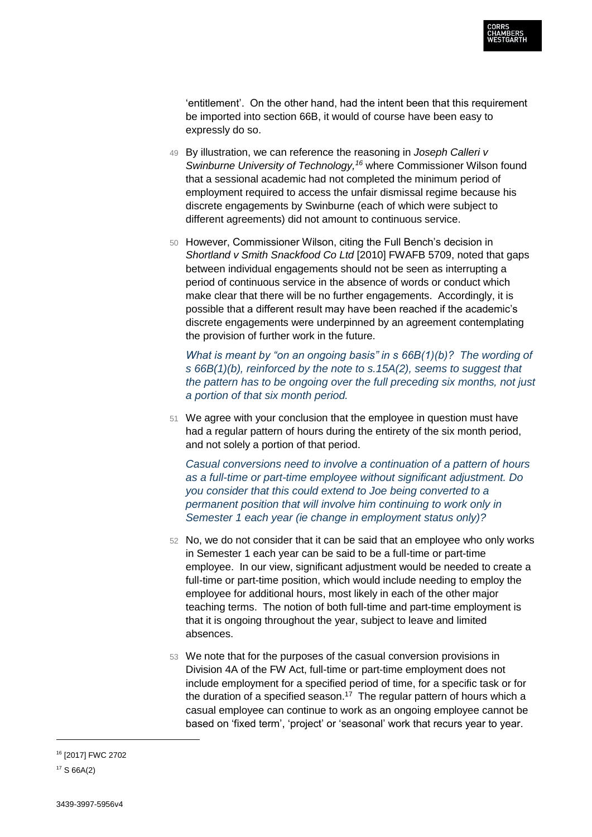

'entitlement'. On the other hand, had the intent been that this requirement be imported into section 66B, it would of course have been easy to expressly do so.

- 49 By illustration, we can reference the reasoning in *Joseph Calleri v Swinburne University of Technology,<sup>16</sup>* where Commissioner Wilson found that a sessional academic had not completed the minimum period of employment required to access the unfair dismissal regime because his discrete engagements by Swinburne (each of which were subject to different agreements) did not amount to continuous service.
- 50 However, Commissioner Wilson, citing the Full Bench's decision in *Shortland v Smith Snackfood Co Ltd* [2010] FWAFB 5709, noted that gaps between individual engagements should not be seen as interrupting a period of continuous service in the absence of words or conduct which make clear that there will be no further engagements. Accordingly, it is possible that a different result may have been reached if the academic's discrete engagements were underpinned by an agreement contemplating the provision of further work in the future.

*What is meant by "on an ongoing basis" in s 66B(1)(b)? The wording of s 66B(1)(b), reinforced by the note to s.15A(2), seems to suggest that the pattern has to be ongoing over the full preceding six months, not just a portion of that six month period.*

51 We agree with your conclusion that the employee in question must have had a regular pattern of hours during the entirety of the six month period, and not solely a portion of that period.

*Casual conversions need to involve a continuation of a pattern of hours as a full-time or part-time employee without significant adjustment. Do you consider that this could extend to Joe being converted to a permanent position that will involve him continuing to work only in Semester 1 each year (ie change in employment status only)?*

- 52 No, we do not consider that it can be said that an employee who only works in Semester 1 each year can be said to be a full-time or part-time employee. In our view, significant adjustment would be needed to create a full-time or part-time position, which would include needing to employ the employee for additional hours, most likely in each of the other major teaching terms. The notion of both full-time and part-time employment is that it is ongoing throughout the year, subject to leave and limited absences.
- 53 We note that for the purposes of the casual conversion provisions in Division 4A of the FW Act, full-time or part-time employment does not include employment for a specified period of time, for a specific task or for the duration of a specified season.<sup>17</sup> The regular pattern of hours which a casual employee can continue to work as an ongoing employee cannot be based on 'fixed term', 'project' or 'seasonal' work that recurs year to year.

<sup>16</sup> [2017] FWC 2702

<sup>17</sup> S 66A(2)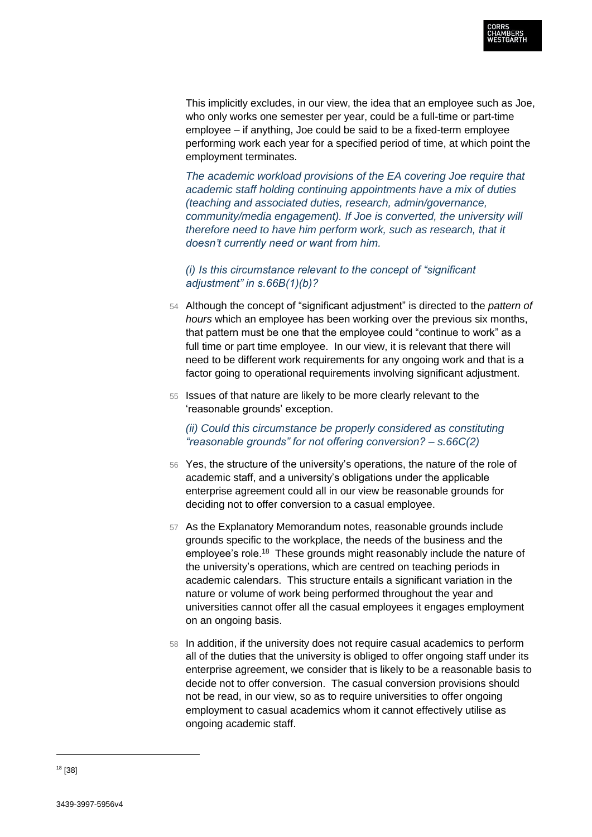

This implicitly excludes, in our view, the idea that an employee such as Joe, who only works one semester per year, could be a full-time or part-time employee – if anything, Joe could be said to be a fixed-term employee performing work each year for a specified period of time, at which point the employment terminates.

*The academic workload provisions of the EA covering Joe require that academic staff holding continuing appointments have a mix of duties (teaching and associated duties, research, admin/governance, community/media engagement). If Joe is converted, the university will therefore need to have him perform work, such as research, that it doesn't currently need or want from him.* 

*(i) Is this circumstance relevant to the concept of "significant adjustment" in s.66B(1)(b)?*

- 54 Although the concept of "significant adjustment" is directed to the *pattern of hours* which an employee has been working over the previous six months, that pattern must be one that the employee could "continue to work" as a full time or part time employee. In our view, it is relevant that there will need to be different work requirements for any ongoing work and that is a factor going to operational requirements involving significant adjustment.
- 55 Issues of that nature are likely to be more clearly relevant to the 'reasonable grounds' exception.

*(ii) Could this circumstance be properly considered as constituting "reasonable grounds" for not offering conversion? – s.66C(2)*

- 56 Yes, the structure of the university's operations, the nature of the role of academic staff, and a university's obligations under the applicable enterprise agreement could all in our view be reasonable grounds for deciding not to offer conversion to a casual employee.
- 57 As the Explanatory Memorandum notes, reasonable grounds include grounds specific to the workplace, the needs of the business and the employee's role.<sup>18</sup> These grounds might reasonably include the nature of the university's operations, which are centred on teaching periods in academic calendars. This structure entails a significant variation in the nature or volume of work being performed throughout the year and universities cannot offer all the casual employees it engages employment on an ongoing basis.
- 58 In addition, if the university does not require casual academics to perform all of the duties that the university is obliged to offer ongoing staff under its enterprise agreement, we consider that is likely to be a reasonable basis to decide not to offer conversion. The casual conversion provisions should not be read, in our view, so as to require universities to offer ongoing employment to casual academics whom it cannot effectively utilise as ongoing academic staff.

<sup>18</sup> [38]